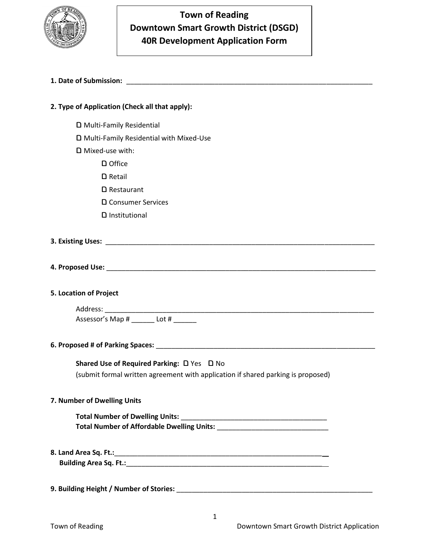

## **Town of Reading Downtown Smart Growth District (DSGD) 40R Development Application Form**

## **1. Date of Submission:** \_\_\_\_\_\_\_\_\_\_\_\_\_\_\_\_\_\_\_\_\_\_\_\_\_\_\_\_\_\_\_\_\_\_\_\_\_\_\_\_\_\_\_\_\_\_\_\_\_\_\_\_\_\_\_\_\_\_\_\_\_\_\_\_

| 2. Type of Application (Check all that apply):                                   |
|----------------------------------------------------------------------------------|
| D Multi-Family Residential                                                       |
| D Multi-Family Residential with Mixed-Use                                        |
| D Mixed-use with:                                                                |
| D Office                                                                         |
| $D$ Retail                                                                       |
| <b>□</b> Restaurant                                                              |
| □ Consumer Services                                                              |
| D Institutional                                                                  |
|                                                                                  |
|                                                                                  |
|                                                                                  |
| 5. Location of Project                                                           |
|                                                                                  |
| Assessor's Map # _______ Lot # ___                                               |
|                                                                                  |
| Shared Use of Required Parking: D Yes D No                                       |
| (submit formal written agreement with application if shared parking is proposed) |
| 7. Number of Dwelling Units                                                      |
|                                                                                  |
|                                                                                  |
|                                                                                  |
|                                                                                  |
|                                                                                  |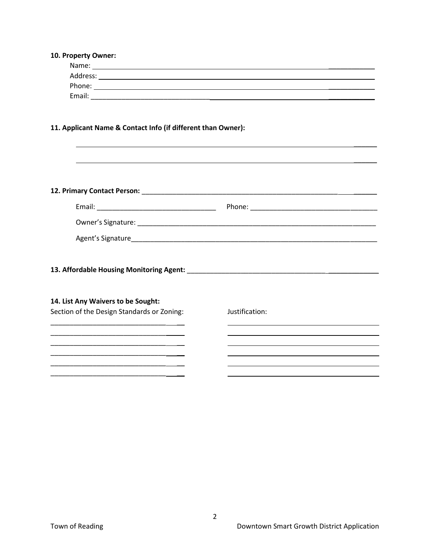| 10. Property Owner:                                                                                                   |                |  |
|-----------------------------------------------------------------------------------------------------------------------|----------------|--|
|                                                                                                                       |                |  |
|                                                                                                                       |                |  |
|                                                                                                                       |                |  |
|                                                                                                                       |                |  |
|                                                                                                                       |                |  |
|                                                                                                                       |                |  |
| 11. Applicant Name & Contact Info (if different than Owner):                                                          |                |  |
|                                                                                                                       |                |  |
|                                                                                                                       |                |  |
|                                                                                                                       |                |  |
|                                                                                                                       |                |  |
|                                                                                                                       |                |  |
|                                                                                                                       |                |  |
|                                                                                                                       |                |  |
|                                                                                                                       |                |  |
|                                                                                                                       |                |  |
|                                                                                                                       |                |  |
|                                                                                                                       |                |  |
| 13. Affordable Housing Monitoring Agent: National Communication of the Communication of the Communication of the      |                |  |
|                                                                                                                       |                |  |
| 14. List Any Waivers to be Sought:                                                                                    |                |  |
| Section of the Design Standards or Zoning:                                                                            | Justification: |  |
|                                                                                                                       |                |  |
|                                                                                                                       |                |  |
|                                                                                                                       |                |  |
| <u> 1980 - Johann John Stein, mars and de British and de British and de British and de British and de British and</u> |                |  |
|                                                                                                                       |                |  |
|                                                                                                                       |                |  |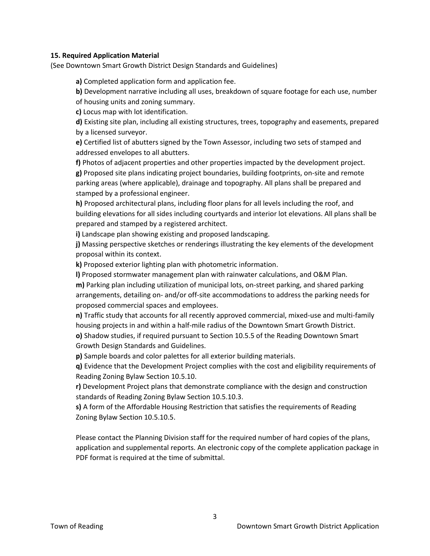## **15. Required Application Material**

(See Downtown Smart Growth District Design Standards and Guidelines)

**a)** Completed application form and application fee.

**b)** Development narrative including all uses, breakdown of square footage for each use, number of housing units and zoning summary.

**c)** Locus map with lot identification.

**d)** Existing site plan, including all existing structures, trees, topography and easements, prepared by a licensed surveyor.

**e)** Certified list of abutters signed by the Town Assessor, including two sets of stamped and addressed envelopes to all abutters.

**f)** Photos of adjacent properties and other properties impacted by the development project. **g)** Proposed site plans indicating project boundaries, building footprints, on-site and remote parking areas (where applicable), drainage and topography. All plans shall be prepared and stamped by a professional engineer.

**h)** Proposed architectural plans, including floor plans for all levels including the roof, and building elevations for all sides including courtyards and interior lot elevations. All plans shall be prepared and stamped by a registered architect.

**i)** Landscape plan showing existing and proposed landscaping.

**j)** Massing perspective sketches or renderings illustrating the key elements of the development proposal within its context.

**k)** Proposed exterior lighting plan with photometric information.

**l)** Proposed stormwater management plan with rainwater calculations, and O&M Plan.

**m)** Parking plan including utilization of municipal lots, on-street parking, and shared parking arrangements, detailing on- and/or off-site accommodations to address the parking needs for proposed commercial spaces and employees.

**n)** Traffic study that accounts for all recently approved commercial, mixed-use and multi-family housing projects in and within a half-mile radius of the Downtown Smart Growth District.

**o)** Shadow studies, if required pursuant to Section 10.5.5 of the Reading Downtown Smart Growth Design Standards and Guidelines.

**p)** Sample boards and color palettes for all exterior building materials.

**q)** Evidence that the Development Project complies with the cost and eligibility requirements of Reading Zoning Bylaw Section 10.5.10.

**r)** Development Project plans that demonstrate compliance with the design and construction standards of Reading Zoning Bylaw Section 10.5.10.3.

**s)** A form of the Affordable Housing Restriction that satisfies the requirements of Reading Zoning Bylaw Section 10.5.10.5.

Please contact the Planning Division staff for the required number of hard copies of the plans, application and supplemental reports. An electronic copy of the complete application package in PDF format is required at the time of submittal.